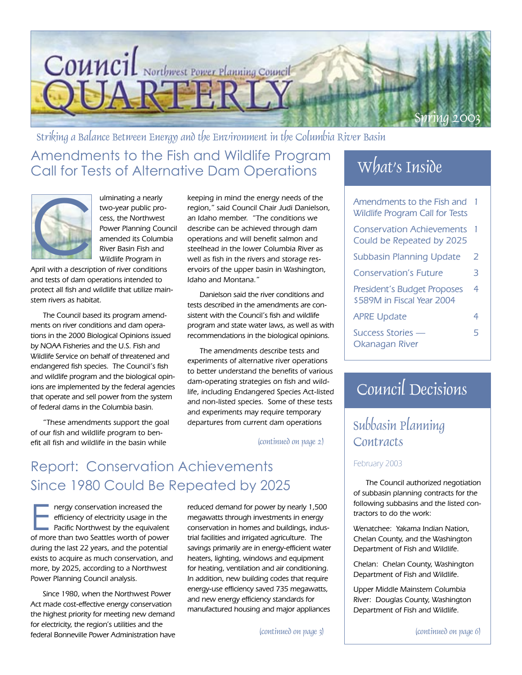

Amendments to the Fish and Wildlife Program Striking a Balance Between Energy and the Environment in the Columbia River Basin

Call for Tests of Alternative Dam Operations



ulminating a nearly two-year public process, the Northwest Power Planning Council amended its Columbia River Basin Fish and Wildlife Program in

April with a description of river conditions and tests of dam operations intended to protect all fish and wildlife that utilize mainstem rivers as habitat.

The Council based its program amendments on river conditions and dam operations in the 2000 Biological Opinions issued by NOAA Fisheries and the U.S. Fish and Wildlife Service on behalf of threatened and endangered fish species. The Council's fish and wildlife program and the biological opinions are implemented by the federal agencies that operate and sell power from the system of federal dams in the Columbia basin.

"These amendments support the goal of our fish and wildlife program to benefit all fish and wildlife in the basin while

keeping in mind the energy needs of the region," said Council Chair Judi Danielson, an Idaho member. "The conditions we describe can be achieved through dam operations and will benefit salmon and steelhead in the lower Columbia River as well as fish in the rivers and storage reservoirs of the upper basin in Washington, Idaho and Montana."

Danielson said the river conditions and tests described in the amendments are consistent with the Council's fish and wildlife program and state water laws, as well as with recommendations in the biological opinions.

The amendments describe tests and experiments of alternative river operations to better understand the benefits of various dam-operating strategies on fish and wildlife, including Endangered Species Act-listed and non-listed species. Some of these tests and experiments may require temporary departures from current dam operations  $\vert$  Subbasin Planning

(continued on page 2)

## Report: Conservation Achievements Since 1980 Could Be Repeated by 2025

The nergy conservation increased the<br>
efficiency of electricity usage in the<br>
Pacific Northwest by the equivalent<br>
of more than two Seattles worth of power efficiency of electricity usage in the of more than two Seattles worth of power during the last 22 years, and the potential exists to acquire as much conservation, and more, by 2025, according to a Northwest Power Planning Council analysis.

Since 1980, when the Northwest Power Act made cost-effective energy conservation the highest priority for meeting new demand for electricity, the region's utilities and the federal Bonneville Power Administration have

reduced demand for power by nearly 1,500 megawatts through investments in energy conservation in homes and buildings, industrial facilities and irrigated agriculture. The savings primarily are in energy-efficient water heaters, lighting, windows and equipment for heating, ventilation and air conditioning. In addition, new building codes that require energy-use efficiency saved 735 megawatts, and new energy efficiency standards for manufactured housing and major appliances

(continued on page 3)

## What's Inside

| Amendments to the Fish and<br><b>Wildlife Program Call for Tests</b> |    |
|----------------------------------------------------------------------|----|
| <b>Conservation Achievements</b><br>Could be Repeated by 2025        | -1 |
| <b>Subbasin Planning Update</b>                                      | 2  |
| <b>Conservation's Future</b>                                         | 3  |
| President's Budget Proposes<br>\$589M in Fiscal Year 2004            | 4  |
| <b>APRE Update</b>                                                   | 4  |
| Success Stories —<br>Okanagan River                                  | 5  |

## Council Decisions

# Contracts

#### February 2003

The Council authorized negotiation of subbasin planning contracts for the following subbasins and the listed contractors to do the work:

Wenatchee: Yakama Indian Nation, Chelan County, and the Washington Department of Fish and Wildlife.

Chelan: Chelan County, Washington Department of Fish and Wildlife.

Upper Middle Mainstem Columbia River: Douglas County, Washington Department of Fish and Wildlife.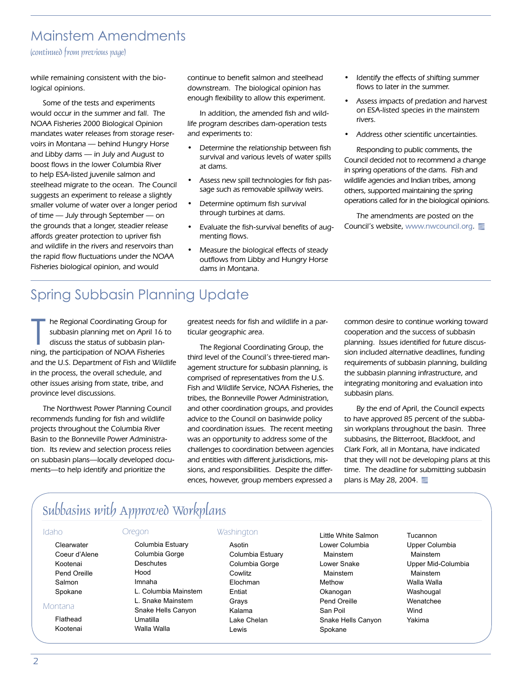### Mainstem Amendments

(continued from previous page)

while remaining consistent with the biological opinions.

Some of the tests and experiments would occur in the summer and fall. The NOAA Fisheries 2000 Biological Opinion mandates water releases from storage reservoirs in Montana — behind Hungry Horse and Libby dams — in July and August to boost flows in the lower Columbia River to help ESA-listed juvenile salmon and steelhead migrate to the ocean. The Council suggests an experiment to release a slightly smaller volume of water over a longer period of time — July through September — on the grounds that a longer, steadier release affords greater protection to upriver fish and wildlife in the rivers and reservoirs than the rapid flow fluctuations under the NOAA Fisheries biological opinion, and would

continue to benefit salmon and steelhead downstream. The biological opinion has enough flexibility to allow this experiment.

In addition, the amended fish and wildlife program describes dam-operation tests and experiments to:

- Determine the relationship between fish survival and various levels of water spills at dams.
- Assess new spill technologies for fish passage such as removable spillway weirs.
- Determine optimum fish survival through turbines at dams.
- Evaluate the fish-survival benefits of augmenting flows.
- Measure the biological effects of steady outflows from Libby and Hungry Horse dams in Montana.
- Identify the effects of shifting summer flows to later in the summer.
- Assess impacts of predation and harvest on ESA-listed species in the mainstem rivers.
- Address other scientific uncertainties.

Responding to public comments, the Council decided not to recommend a change in spring operations of the dams. Fish and wildlife agencies and Indian tribes, among others, supported maintaining the spring operations called for in the biological opinions.

The amendments are posted on the Council's website, www.nwcouncil.org.

## Spring Subbasin Planning Update

he Regional Coordinating Group for<br>subbasin planning met on April 16 t<br>discuss the status of subbasin plan-<br>ning, the participation of NOAA Fisheries he Regional Coordinating Group for subbasin planning met on April 16 to discuss the status of subbasin planand the U.S. Department of Fish and Wildlife in the process, the overall schedule, and other issues arising from state, tribe, and province level discussions.

The Northwest Power Planning Council recommends funding for fish and wildlife projects throughout the Columbia River Basin to the Bonneville Power Administration. Its review and selection process relies on subbasin plans—locally developed documents—to help identify and prioritize the

greatest needs for fish and wildlife in a particular geographic area.

The Regional Coordinating Group, the third level of the Council's three-tiered management structure for subbasin planning, is comprised of representatives from the U.S. Fish and Wildlife Service, NOAA Fisheries, the tribes, the Bonneville Power Administration, and other coordination groups, and provides advice to the Council on basinwide policy and coordination issues. The recent meeting was an opportunity to address some of the challenges to coordination between agencies and entities with different jurisdictions, missions, and responsibilities. Despite the differences, however, group members expressed a

common desire to continue working toward cooperation and the success of subbasin planning. Issues identified for future discussion included alternative deadlines, funding requirements of subbasin planning, building the subbasin planning infrastructure, and integrating monitoring and evaluation into subbasin plans.

By the end of April, the Council expects to have approved 85 percent of the subbasin workplans throughout the basin. Three subbasins, the Bitterroot, Blackfoot, and Clark Fork, all in Montana, have indicated that they will not be developing plans at this time. The deadline for submitting subbasin plans is May 28, 2004.

## Subbasins with Approved Workplans

#### Idaho

Montana Flathead Kootenai

**Clearwater** Coeur d'Alene Kootenai Pend Oreille Salmon Spokane

#### Oregon

Columbia Estuary Columbia Gorge **Deschutes** Hood Imnaha L. Columbia Mainstem L. Snake Mainstem Snake Hells Canyon Umatilla Walla Walla

#### **Washington**

Asotin Columbia Estuary Columbia Gorge **Cowlitz** Elochman Entiat Grays Kalama Lake Chelan Lewis

Little White Salmon Lower Columbia Mainstem Lower Snake Mainstem Methow Okanogan Pend Oreille San Poil Snake Hells Canyon Spokane

Tucannon Upper Columbia Mainstem Upper Mid-Columbia Mainstem Walla Walla Washougal Wenatchee Wind Yakima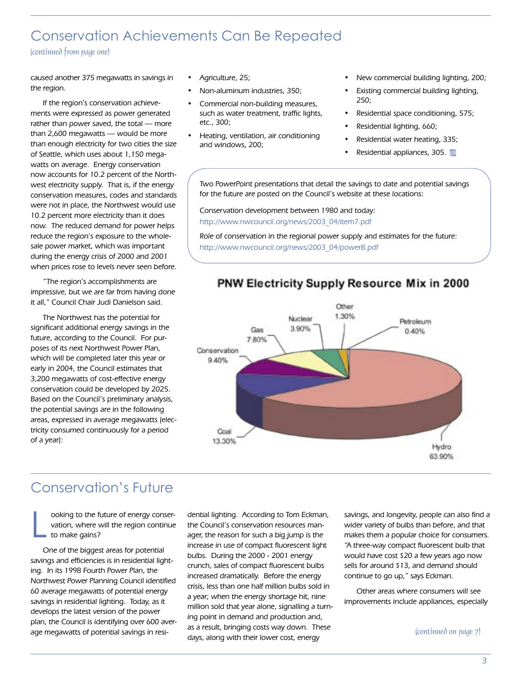## Conservation Achievements Can Be Repeated

(continued from page one)

caused another 375 megawatts in savings in the region.

If the region's conservation achievements were expressed as power generated rather than power saved, the total — more than 2,600 megawatts — would be more than enough electricity for two cities the size of Seattle, which uses about 1,150 megawatts on average. Energy conservation now accounts for 10.2 percent of the Northwest electricity supply. That is, if the energy conservation measures, codes and standards were not in place, the Northwest would use 10.2 percent more electricity than it does now. The reduced demand for power helps reduce the region's exposure to the wholesale power market, which was important during the energy crisis of 2000 and 2001 when prices rose to levels never seen before.

"The region's accomplishments are impressive, but we are far from having done it all," Council Chair Judi Danielson said.

The Northwest has the potential for significant additional energy savings in the future, according to the Council. For purposes of its next Northwest Power Plan, which will be completed later this year or early in 2004, the Council estimates that 3,200 megawatts of cost-effective energy conservation could be developed by 2025. Based on the Council's preliminary analysis, the potential savings are in the following areas, expressed in average megawatts (electricity consumed continuously for a period of a year):

- Agriculture, 25;
- Non-aluminum industries, 350;
- Commercial non-building measures, such as water treatment, traffic lights, etc., 300;
- Heating, ventilation, air conditioning and windows, 200;
- New commercial building lighting, 200;
- Existing commercial building lighting, 250;
- Residential space conditioning, 575;
- Residential lighting, 660;
- Residential water heating, 335;
- Residential appliances, 305.

Two PowerPoint presentations that detail the savings to date and potential savings for the future are posted on the Council's website at these locations:

Conservation development between 1980 and today: http://www.nwcouncil.org/news/2003\_04/item7.pdf

Role of conservation in the regional power supply and estimates for the future: http://www.nwcouncil.org/news/2003\_04/powerB.pdf



#### PNW Electricity Supply Resource Mix in 2000

## Conservation's Future

L ooking to the future of energy conservation, where will the region continue to make gains?

One of the biggest areas for potential savings and efficiencies is in residential lighting. In its 1998 Fourth Power Plan, the Northwest Power Planning Council identified 60 average megawatts of potential energy savings in residential lighting. Today, as it develops the latest version of the power plan, the Council is identifying over 600 average megawatts of potential savings in resi-

dential lighting. According to Tom Eckman, the Council's conservation resources manager, the reason for such a big jump is the increase in use of compact fluorescent light bulbs. During the 2000 - 2001 energy crunch, sales of compact fluorescent bulbs increased dramatically. Before the energy crisis, less than one half million bulbs sold in a year; when the energy shortage hit, nine million sold that year alone, signalling a turning point in demand and production and, as a result, bringing costs way down. These days, along with their lower cost, energy

savings, and longevity, people can also find a wider variety of bulbs than before, and that makes them a popular choice for consumers. "A three-way compact fluorescent bulb that would have cost \$20 a few years ago now sells for around \$13, and demand should continue to go up," says Eckman.

Other areas where consumers will see improvements include appliances, especially

(continued on page 7)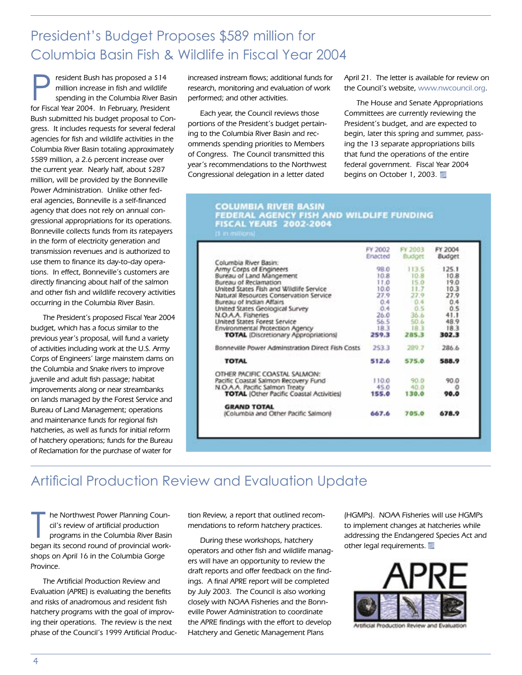## President's Budget Proposes \$589 million for Columbia Basin Fish & Wildlife in Fiscal Year 2004

**President Bush has proposed a \$14<br>
million increase in fish and wildlife<br>
spending in the Columbia River Basin<br>
for Fiscal Year 2004. In February, President** million increase in fish and wildlife for Fiscal Year 2004. In February, President Bush submitted his budget proposal to Congress. It includes requests for several federal agencies for fish and wildlife activities in the Columbia River Basin totaling approximately \$589 million, a 2.6 percent increase over the current year. Nearly half, about \$287 million, will be provided by the Bonneville Power Administration. Unlike other federal agencies, Bonneville is a self-financed agency that does not rely on annual congressional appropriations for its operations. Bonneville collects funds from its ratepayers in the form of electricity generation and transmission revenues and is authorized to use them to finance its day-to-day operations. In effect, Bonneville's customers are directly financing about half of the salmon and other fish and wildlife recovery activities occurring in the Columbia River Basin.

The President's proposed Fiscal Year 2004 budget, which has a focus similar to the previous year's proposal, will fund a variety of activities including work at the U.S. Army Corps of Engineers' large mainstem dams on the Columbia and Snake rivers to improve juvenile and adult fish passage; habitat improvements along or near streambanks on lands managed by the Forest Service and Bureau of Land Management; operations and maintenance funds for regional fish hatcheries, as well as funds for initial reform of hatchery operations; funds for the Bureau of Reclamation for the purchase of water for

increased instream flows; additional funds for research, monitoring and evaluation of work performed; and other activities.

Each year, the Council reviews those portions of the President's budget pertaining to the Columbia River Basin and recommends spending priorities to Members of Congress. The Council transmitted this year's recommendations to the Northwest Congressional delegation in a letter dated

April 21. The letter is available for review on the Council's website, www.nwcouncil.org.

The House and Senate Appropriations Committees are currently reviewing the President's budget, and are expected to begin, later this spring and summer, passing the 13 separate appropriations bills that fund the operations of the entire federal government. Fiscal Year 2004 begins on October 1, 2003.

# COLUMBIA RIVER BASIN<br>FEDERAL AGENCY FISH AND WILDLIFE FUNDING<br>FISCAL YEARS 2002-2004

|                                                  | FY 2002 | FY 2003 | FY 2004       |
|--------------------------------------------------|---------|---------|---------------|
|                                                  | Enacted | Budget  | <b>Budget</b> |
| Columbia River Basin:                            |         |         |               |
| Army Corps of Engineers                          | 98.0    | 113.5   | 125.1         |
| Bureau of Land Mangement                         | 10.8    | 10.8    | 10.8          |
| Bureau of Reclamation                            | 11.0    | 15.0    | 19.0          |
| United States Fish and Wildlife Service          | 10.0    | 11.7    | 10.3          |
| Natural Resources Conservation Service           | 27.9    | 27.9    | 27.9          |
| Bureau of Indian Affairs                         | 0.4     | $-0.4$  | 0.4           |
| United States Geological Survey                  | 0.4     | 0.5     | 0.5           |
| N.O.A.A. Fisheries                               | 26.0    | 36.6    | 41.1          |
| United States Forest Service                     | 56.5    | 50.6    | 48.9          |
| Environmental Protection Agency                  | 18.3    | 18.3    | 18.3          |
| <b>TOTAL</b> (Discretionary Appropriations)      | 259.3   | 285.3   | 302.3         |
| Bonneville Power Adminstration Direct Fish Costs | 253.3   | 289.7   | 286.6         |
| <b>TOTAL</b>                                     | 512.6   | 575.0   | 588.9         |
| OTHER PACIFIC COASTAL SALMON:                    |         |         |               |
| Pacific Coastal Salmon Recovery Fund             | 110.0   | 90.0    | 90.0          |
| N.O.A.A. Pacific Salmon Treaty                   | 45.0    | 40.0    | o             |
| <b>TOTAL (Other Pacific Coastal Activities)</b>  | 155.0   | 130.0   | 90.0          |
| <b>GRAND TOTAL</b>                               |         |         |               |
| (Columbia and Other Pacific Salmon)              | 667.6   | 705.0   | 678.9         |

## Artificial Production Review and Evaluation Update

he Northwest Power Planning Council's review of artificial production<br>programs in the Columbia River Basin<br>began its second round of provincial workhe Northwest Power Planning Council's review of artificial production programs in the Columbia River Basin shops on April 16 in the Columbia Gorge Province.

The Artificial Production Review and Evaluation (APRE) is evaluating the benefits and risks of anadromous and resident fish hatchery programs with the goal of improving their operations. The review is the next phase of the Council's 1999 Artificial Production Review, a report that outlined recommendations to reform hatchery practices.

During these workshops, hatchery operators and other fish and wildlife managers will have an opportunity to review the draft reports and offer feedback on the findings. A final APRE report will be completed by July 2003. The Council is also working closely with NOAA Fisheries and the Bonneville Power Administration to coordinate the APRE findings with the effort to develop Hatchery and Genetic Management Plans

(HGMPs). NOAA Fisheries will use HGMPs to implement changes at hatcheries while addressing the Endangered Species Act and other legal requirements.



icial Production Review and Evaluati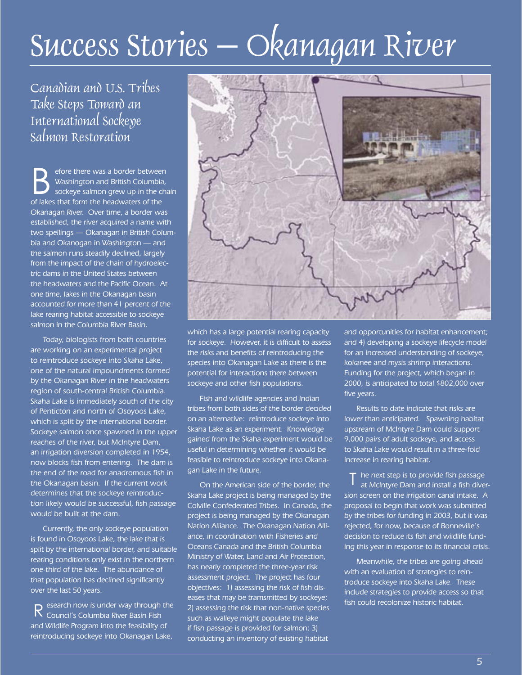# Success Stories – Okanagan River

Canadian and U.S. Tribes Take Steps Toward an International Sockeye Salmon Restoration

Before there was a border between<br>
Washington and British Columbia,<br>
sockeye salmon grew up in the chain<br>
of lakes that form the haadwaters of the Washington and British Columbia, of lakes that form the headwaters of the Okanagan River. Over time, a border was established, the river acquired a name with two spellings — Okanagan in British Columbia and Okanogan in Washington — and the salmon runs steadily declined, largely from the impact of the chain of hydroelectric dams in the United States between the headwaters and the Pacific Ocean. At one time, lakes in the Okanagan basin accounted for more than 41 percent of the lake rearing habitat accessible to sockeye salmon in the Columbia River Basin.

Today, biologists from both countries are working on an experimental project to reintroduce sockeye into Skaha Lake, one of the natural impoundments formed by the Okanagan River in the headwaters region of south-central British Columbia. Skaha Lake is immediately south of the city of Penticton and north of Osoyoos Lake, which is split by the international border. Sockeye salmon once spawned in the upper reaches of the river, but McIntyre Dam, an irrigation diversion completed in 1954, now blocks fish from entering. The dam is the end of the road for anadromous fish in the Okanagan basin. If the current work determines that the sockeye reintroduction likely would be successful, fish passage would be built at the dam.

Currently, the only sockeye population is found in Osoyoos Lake, the lake that is split by the international border, and suitable rearing conditions only exist in the northern one-third of the lake. The abundance of that population has declined significantly over the last 50 years.

esearch now is under way through the and Wildlife Program into the feasibility of reintroducing sockeye into Okanagan Lake,



which has a large potential rearing capacity for sockeye. However, it is difficult to assess the risks and benefits of reintroducing the species into Okanagan Lake as there is the potential for interactions there between sockeye and other fish populations.

Fish and wildlife agencies and Indian tribes from both sides of the border decided on an alternative: reintroduce sockeye into Skaha Lake as an experiment. Knowledge gained from the Skaha experiment would be useful in determining whether it would be feasible to reintroduce sockeye into Okanagan Lake in the future.

External of the control of the control of the control of sections of the risk that non-native species<br>
R Council's Columbia River Basin Fish such as walleve might populate the lake On the American side of the border, the Skaha Lake project is being managed by the Colville Confederated Tribes. In Canada, the project is being managed by the Okanagan Nation Alliance. The Okanagan Nation Alliance, in coordination with Fisheries and Oceans Canada and the British Columbia Ministry of Water, Land and Air Protection, has nearly completed the three-year risk assessment project. The project has four objectives: 1) assessing the risk of fish diseases that may be tramsmitted by sockeye; 2) assessing the risk that non-native species such as walleye might populate the lake if fish passage is provided for salmon; 3) conducting an inventory of existing habitat

and opportunities for habitat enhancement; and 4) developing a sockeye lifecycle model for an increased understanding of sockeye, kokanee and mysis shrimp interactions. Funding for the project, which began in 2000, is anticipated to total \$802,000 over five years.

Results to date indicate that risks are lower than anticipated. Spawning habitat upstream of McIntyre Dam could support 9,000 pairs of adult sockeye, and access to Skaha Lake would result in a three-fold increase in rearing habitat.

he next step is to provide fish passage at McIntyre Dam and install a fish diversion screen on the irrigation canal intake. A proposal to begin that work was submitted by the tribes for funding in 2003, but it was rejected, for now, because of Bonneville's decision to reduce its fish and wildlife funding this year in response to its financial crisis. T

Meanwhile, the tribes are going ahead with an evaluation of strategies to reintroduce sockeye into Skaha Lake. These include strategies to provide access so that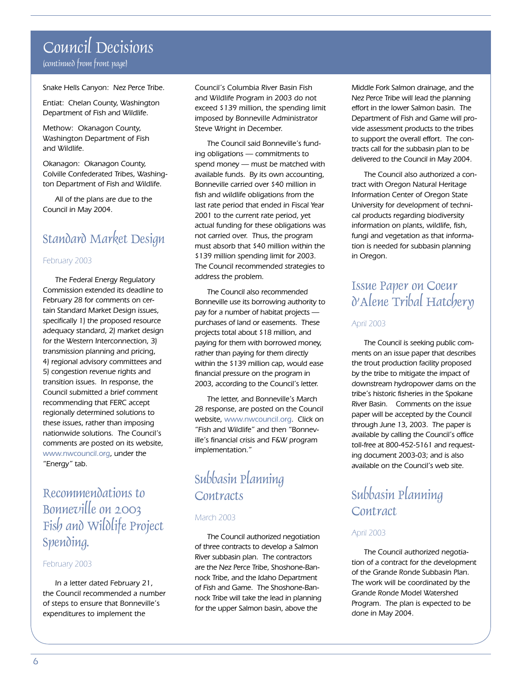## Council Decisions (continued from front page)

Snake Hells Canyon: Nez Perce Tribe.

Entiat: Chelan County, Washington Department of Fish and Wildlife.

Methow: Okanagon County, Washington Department of Fish and Wildlife.

Okanagon: Okanagon County, Colville Confederated Tribes, Washington Department of Fish and Wildlife.

All of the plans are due to the Council in May 2004.

## Standard Market Design

#### February 2003

The Federal Energy Regulatory Commission extended its deadline to February 28 for comments on certain Standard Market Design issues, specifically 1) the proposed resource adequacy standard, 2) market design for the Western Interconnection, 3) transmission planning and pricing, 4) regional advisory committees and 5) congestion revenue rights and transition issues. In response, the Council submitted a brief comment recommending that FERC accept regionally determined solutions to these issues, rather than imposing nationwide solutions. The Council's comments are posted on its website, www.nwcouncil.org, under the "Energy" tab.

## Recommendations to Bonneville on 2003 Fish and Wildlife Project Spending.

#### February 2003

In a letter dated February 21, the Council recommended a number of steps to ensure that Bonneville's expenditures to implement the

Council's Columbia River Basin Fish and Wildlife Program in 2003 do not exceed \$139 million, the spending limit imposed by Bonneville Administrator Steve Wright in December.

The Council said Bonneville's funding obligations — commitments to spend money — must be matched with available funds. By its own accounting, Bonneville carried over \$40 million in fish and wildlife obligations from the last rate period that ended in Fiscal Year 2001 to the current rate period, yet actual funding for these obligations was not carried over. Thus, the program must absorb that \$40 million within the \$139 million spending limit for 2003. The Council recommended strategies to address the problem.

The Council also recommended Bonneville use its borrowing authority to pay for a number of habitat projects purchases of land or easements. These projects total about \$18 million, and paying for them with borrowed money, rather than paying for them directly within the \$139 million cap, would ease financial pressure on the program in 2003, according to the Council's letter.

The letter, and Bonneville's March 28 response, are posted on the Council website, www.nwcouncil.org. Click on "Fish and Wildlife" and then "Bonneville's financial crisis and F&W program implementation."

## Subbasin Planning **Contracts**

#### March 2003

The Council authorized negotiation of three contracts to develop a Salmon River subbasin plan. The contractors are the Nez Perce Tribe, Shoshone-Bannock Tribe, and the Idaho Department of Fish and Game. The Shoshone-Bannock Tribe will take the lead in planning for the upper Salmon basin, above the

Middle Fork Salmon drainage, and the Nez Perce Tribe will lead the planning effort in the lower Salmon basin. The Department of Fish and Game will provide assessment products to the tribes to support the overall effort. The contracts call for the subbasin plan to be delivered to the Council in May 2004.

The Council also authorized a contract with Oregon Natural Heritage Information Center of Oregon State University for development of technical products regarding biodiversity information on plants, wildlife, fish, fungi and vegetation as that information is needed for subbasin planning in Oregon.

## Issue Paper on Coeur d'Alene Tribal Hatchery

#### April 2003

The Council is seeking public comments on an issue paper that describes the trout production facility proposed by the tribe to mitigate the impact of downstream hydropower dams on the tribe's historic fisheries in the Spokane River Basin. Comments on the issue paper will be accepted by the Council through June 13, 2003. The paper is available by calling the Council's office toll-free at 800-452-5161 and requesting document 2003-03; and is also available on the Council's web site.

## Subbasin Planning Contract

#### April 2003

The Council authorized negotiation of a contract for the development of the Grande Ronde Subbasin Plan. The work will be coordinated by the Grande Ronde Model Watershed Program. The plan is expected to be done in May 2004.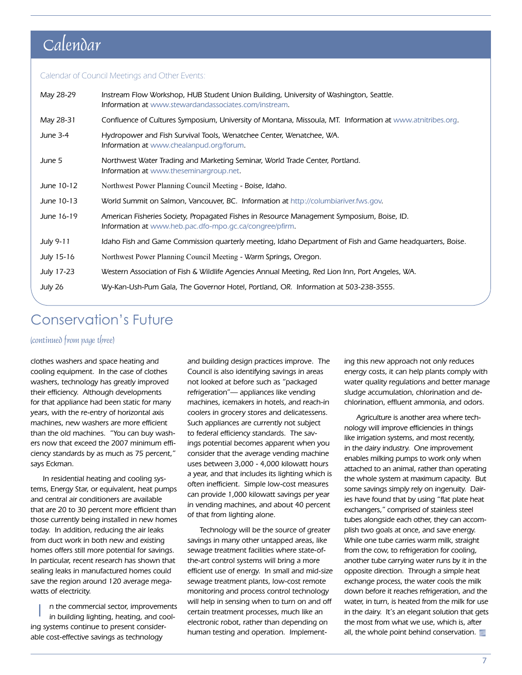## Calendar

#### Calendar of Council Meetings and Other Events:

| May 28-29         | Instream Flow Workshop, HUB Student Union Building, University of Washington, Seattle.<br><b>Information at www.stewardandassociates.com/instream.</b> |
|-------------------|--------------------------------------------------------------------------------------------------------------------------------------------------------|
| May 28-31         | Confluence of Cultures Symposium, University of Montana, Missoula, MT. Information at www.atnitribes.org.                                              |
| June 3-4          | Hydropower and Fish Survival Tools, Wenatchee Center, Wenatchee, WA.<br>Information at www.chealanpud.org/forum.                                       |
| June 5            | Northwest Water Trading and Marketing Seminar, World Trade Center, Portland.<br>Information at www.theseminargroup.net.                                |
| June 10-12        | Northwest Power Planning Council Meeting - Boise, Idaho.                                                                                               |
| June 10-13        | World Summit on Salmon, Vancouver, BC. Information at http://columbiariver.fws.gov.                                                                    |
| June 16-19        | American Fisheries Society, Propagated Fishes in Resource Management Symposium, Boise, ID.<br>Information at www.heb.pac.dfo-mpo.gc.ca/congree/pfirm.  |
| July 9-11         | Idaho Fish and Game Commission quarterly meeting, Idaho Department of Fish and Game headquarters, Boise.                                               |
| July 15-16        | Northwest Power Planning Council Meeting - Warm Springs, Oregon.                                                                                       |
| <b>July 17-23</b> | Western Association of Fish & Wildlife Agencies Annual Meeting, Red Lion Inn, Port Angeles, WA.                                                        |
| July 26           | Wy-Kan-Ush-Pum Gala, The Governor Hotel, Portland, OR. Information at 503-238-3555.                                                                    |

## Conservation's Future

#### (continued from page three)

clothes washers and space heating and cooling equipment. In the case of clothes washers, technology has greatly improved their efficiency. Although developments for that appliance had been static for many years, with the re-entry of horizontal axis machines, new washers are more efficient than the old machines. "You can buy washers now that exceed the 2007 minimum efficiency standards by as much as 75 percent," says Eckman.

In residential heating and cooling systems, Energy Star, or equivalent, heat pumps and central air conditioners are available that are 20 to 30 percent more efficient than those currently being installed in new homes today. In addition, reducing the air leaks from duct work in both new and existing homes offers still more potential for savings. In particular, recent research has shown that sealing leaks in manufactured homes could save the region around 120 average megawatts of electricity.

n the commercial sector, improvements in building lighting, heating, and cooling systems continue to present considerable cost-effective savings as technology I

and building design practices improve. The Council is also identifying savings in areas not looked at before such as "packaged refrigeration"— appliances like vending machines, icemakers in hotels, and reach-in coolers in grocery stores and delicatessens. Such appliances are currently not subject to federal efficiency standards. The savings potential becomes apparent when you consider that the average vending machine uses between 3,000 - 4,000 kilowatt hours a year, and that includes its lighting which is often inefficient. Simple low-cost measures can provide 1,000 kilowatt savings per year in vending machines, and about 40 percent of that from lighting alone.

Technology will be the source of greater savings in many other untapped areas, like sewage treatment facilities where state-ofthe-art control systems will bring a more efficient use of energy. In small and mid-size sewage treatment plants, low-cost remote monitoring and process control technology will help in sensing when to turn on and off certain treatment processes, much like an electronic robot, rather than depending on human testing and operation. Implementing this new approach not only reduces energy costs, it can help plants comply with water quality regulations and better manage sludge accumulation, chlorination and dechlorination, effluent ammonia, and odors.

Agriculture is another area where technology will improve efficiencies in things like irrigation systems, and most recently, in the dairy industry. One improvement enables milking pumps to work only when attached to an animal, rather than operating the whole system at maximum capacity. But some savings simply rely on ingenuity. Dairies have found that by using "flat plate heat exchangers," comprised of stainless steel tubes alongside each other, they can accomplish two goals at once, and save energy. While one tube carries warm milk, straight from the cow, to refrigeration for cooling, another tube carrying water runs by it in the opposite direction. Through a simple heat exchange process, the water cools the milk down before it reaches refrigeration, and the water, in turn, is heated from the milk for use in the dairy. It's an elegant solution that gets the most from what we use, which is, after all, the whole point behind conservation.